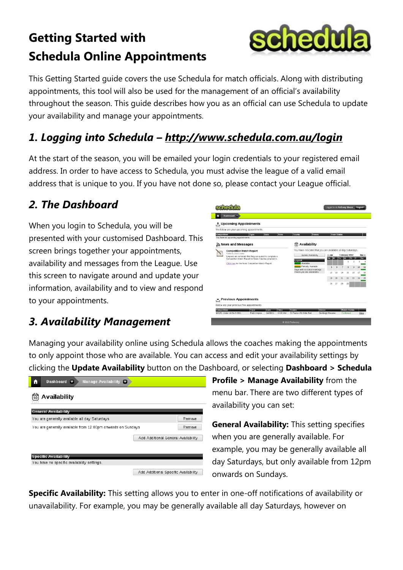# **Getting Started with Schedula Online Appointments**



This Getting Started guide covers the use Schedula for match officials. Along with distributing appointments, this tool will also be used for the management of an official's availability throughout the season. This guide describes how you as an official can use Schedula to update your availability and manage your appointments.

## *1. Logging into Schedula – http://www.schedula.com.au/login*

At the start of the season, you will be emailed your login credentials to your registered email address. In order to have access to Schedula, you must advise the league of a valid email address that is unique to you. If you have not done so, please contact your League official.

### *2. The Dashboard*

When you login to Schedula, you will be presented with your customised Dashboard. This screen brings together your appointments, availability and messages from the League. Use this screen to navigate around and update your information, availability and to view and respond to your appointments.



#### *3. Availability Management*

Managing your availability online using Schedula allows the coaches making the appointments to only appoint those who are available. You can access and edit your availability settings by clicking the **Update Availability** button on the Dashboard, or selecting **Dashboard > Schedula** 



**Profile > Manage Availability** from the menu bar. There are two different types of availability you can set:

**General Availability:** This setting specifies when you are generally available. For example, you may be generally available all day Saturdays, but only available from 12pm onwards on Sundays.

**Specific Availability:** This setting allows you to enter in one-off notifications of availability or unavailability. For example, you may be generally available all day Saturdays, however on